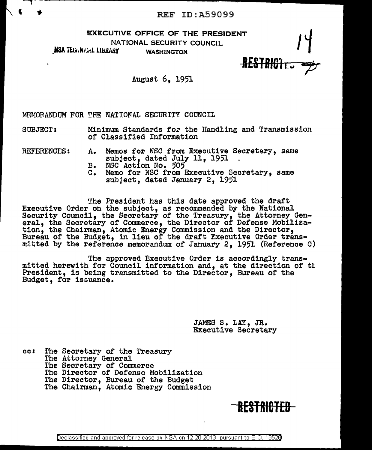EXECUTIVE OFFICE OF THE PRESIDENT<br>NATIONAL SECURITY COUNCIL<br>ALLIBRARY WASHINGTON

NATIONAL SECURITY COUNCIL

NSA TECHNICAL LIBRARY

IESTRIGl ,\_\_, *<;&* 

August 6, 19'1

MEMORANDUM FOR THE NATIONAL SECURITY COUNCIL

SUBJECT: Minimum Standards for the Handling and Transmission of Classified Information

REFERENCES: A. Memos for NSC from Executive Secretary, same subject, dated July 11, 1951.<br>B. NSC Action No. 505

- 
- c. Memo for NSC from Executive Secretary, same subject, dated January 2, 1951

The President has this date approved the draft Executive Order on the subject, as recommended by the National Security Council, the Secretary of the Treasury, the Attorney General, the Secretary of Commerce, the Director of Defense Mobilization, the Chairman, Atomic Energy Commission and the Director, Bureau of the Budget, in lieu of the draft Executive Order transmitted by the reference memorandum of January 2, 19'1 {Reference C)

The approved Executive Order is accordingly transmitted herewith for Council information and, at the direction or tl. President, is being transmitted to the Director, Bureau of the Budget, tor issuance.

> JAMES s. LAY, JR. Executive Secretary

cc: The Secretary of the Treasury The Attorney General The Secretary of Commerce The Director of Defense Mobilization The Director, Bureau of the Budget The Chairman, Atomic Energy Commission

# RESTRICTED

Declassified and approved for release by NSA on 12-20-2013 pursuant to E. 0. 1352B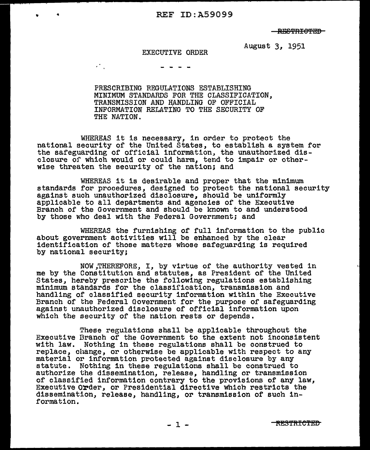RESTRICTED

August 3, 1951

#### EXECUTIVE ORDER

 $\mathcal{L}^{\text{max}}(\mathcal{L})$ 

PRESCRIBING REGULATIONS ESTABLISHING MINIMUM STANDARDS FOR THE CLASSIFICATION, TRANSMISSION AND HANDLING OF OFFICIAL INFORMATION RELATING TO THE SECURITY OF THE NATION.

WHEREAS it is necessary, in order to protect the national security of the United States, to establish a system for the safeguarding of official information, the unauthorized disclosure or which would or could harm, tend to impair or otherwise threaten the security of the nation; and

WHEREAS it is desirable and proper that the minimum standards for procedures, designed to protect the national security against such unauthorized disclosure, should be uniformly applicable to all departments and agencies of the Executive Branch of the Government and should be known to and understood by those who deal with the Federal Government; and

WHEREAS the furnishing of full information to the public about government activities will be enhanced by the clear identification of those matters whose safeguarding is required by national security;

NOW,THEREFORE, I, by virtue of the authority vested in me by the Constitution and statutes, as President of the United States, hereby prescribe the following regulations establishing minimum standards for the classification, transmission and handling of classified security information within the Executive Branch of the Federal Government for the purpose of safeguarding against unauthorized disclosure of official information upon which the security of the nation rests or depends.

These regulations shall be applicable throughout the Executive Branch of the Government to the extent not inconsistent with law. Nothing in these regulations shall be construed to replace, change, or otherwise be applicable with respect to any material or information protected against disclosure by any statute. Nothing 1n these regulations shall be construed to authorize the dissemination, release, handling or transmission or classified information contrary to the provisions of any law, Executive Order, or Presidential directive which restricts the dissemination, release, handling, or transmission of such information.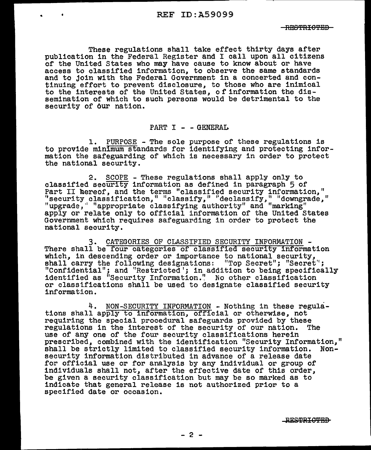These regulations shall take effect thirty days after publication in the Federal Register and I call upon all citizens of the United States who may have cause to know about or have access to classified information, to observe the same standards and to join with the Federal Government in a concerted and continuing effort to prevent disclosure, to those who are inimical to the interests of the United States, of information the dissemination of which to such persons would be detrimental to the security of our nation.

#### $PART I - - GENERAL$

1. PURPOSE - The sole purpose of these regulations is to provide minimum standards for identifying and protecting information the safeguarding of which is necessary in order to protect the national security.

2. SCOPE - These regulations shall apply only to classified security information as defined in paragraph 5 of exassified security information as defined in paragraph  $\frac{1}{2}$  or Part II hereof, and the terms "classified security information," 's curity classification," "classify," "declassify," "downgrade," "upgrade," "appropriate classifying authority" and "marking" apply or relate only to official information of the United States apply or relate only to official information of the United States Government which requires safeguarding in order to protect the national security.

3. CATEGORIES OF CLASSIFIED SECURITY INFORMATION - There shall be four categories of classified security information which, in descending order or importance to national security, shall carry the following designations: "Top Secret"; "Secret" "Confidential"; and "Restricted'; in addition to being specifically identified as "Security Information." No other classification or classifications shall be used to designate classified security information.

4. NON-SECURITY INFORMATION - Nothing in these regula-<br>tions shall apply to information, official or otherwise, not requiring the special procedural safeguards provided by these regulations in the interest of the security of our nation. The use of any one of the four security classifications herein prescribed, combined with the identification "Security Information," shall be strictly limited to classified security information. Nonsecurity information distributed in advance of a release date for official use or for analysis by any individual or group of individuals shall not, after the effective date of this order, be given a security classification but may be so marked as to indicate that general release is not authorized prior to a specified date or occasion.

**RESTRICTED**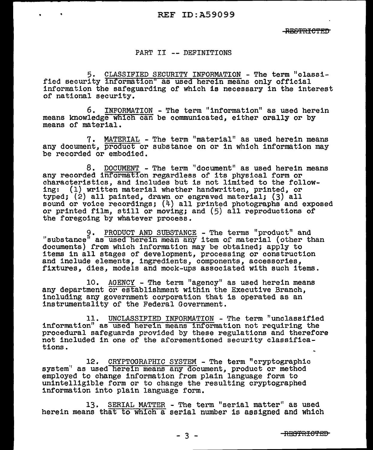#### PART II -- DEFINITIONS

5. CLASSIFIED SECURITY INFORMATION - The term "classified security information" as used herein means only official information the safeguarding of which is necessary in the interest of national security.

6. INFORMATION - The term "information" as used herein means knowledge which can be communicated, either orally or by means of material.

7. MATERIAL - The term "material" as used herein means any docurnent, product or substance on or in which information may be recorded or embodied.

8. DOCUMENT - The term ''document" as used herein means any recorded informatfon regardless of its physical form or characteristics, and includes but is not limited to the following: (1) written material whether handwritten, printed, or typed; (2) all painted, drawn or engraved material; (3) all sound or voice recordings; (4) all printed photographs and exposed or printed film, still or moving; and (5) all reproductions of the foregoing by whatever process.

9. PRODUCT AND SUBSTANCE - The terms "product" and "substance" as used herein mean any item of material (other than documents) from which information may be obtained; apply to items in all stages of development, processing or construction and include elements, ingredients, components, accessories, fixtures, dies, models and mock-ups associated with such items.

10. AGENCY - The term "agency" as used herein means any department or establishment within the Executive Branch, including any government corporation that is operated as an instrumentality of the Federal Government.

11. UNCLASSIFIED INFORMATION - The term "unclassified information" as used herein means information not requiring the procedural safeguards provided by these regulations and therefore not included in one of the aforementioned security classifications.

12. CRYPTOGRAPHIC SYSTEM - The term "cryptographic system" as used herein means any document, product or method employed to change information from plain language form to unintelligible form or to change the resulting cryptographed information into plain language form.

13. SERIAL MATTER - The term "serial matter" as used herein means that to which a serial number is assigned and which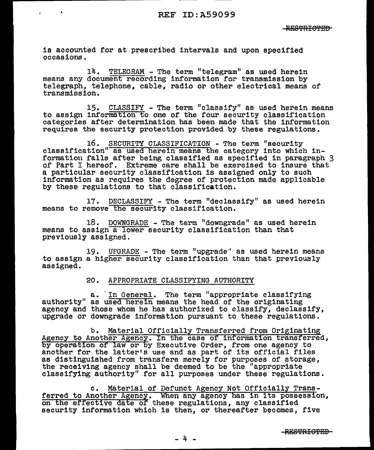is accounted for at prescribed intervals and upon specified occasions.

14. TELEGRAM - The term "telegram" as used herein means any document recording information for transmission by telegraph, telephone, cable, radio or other electrical means of transmission.

15. CLASSIFY - The term "classify" as used herein means to assign information to one of the four security classification categories after determination has been made that the information requires the security protection provided by these regulations.

16. SECURITY CLASSIFICATION - The term "security classification" as used herein means the category into which information falls after being classified as specified in paragraph 3 of Part I hereof. Extreme care shall be exercised to insure that a particular security classification is assigned only to such information as requires the degree of protection made applicable by these regulations to that classification.

17. DECLASSIFY - The term "declassify" as used herein means to remove the security classification.

18. DOWNGRADE - The term "downgrade" as used herein means to assign a lower security classification than that previously assigned.

19. UPGRADE - The term "upgrade" as used herein means to assign a higher security classification than that previously assigned.

#### 20. APPROPRIATE CLASSIFYING AUTHORITY

a. 'In General. The term "appropriate classifying authority" as used herein means the head of the originating agency and those whom he has authorized to classify, declassify, upgrade or downgrade information pursuant to these regulations.

b. Material Officially Transferred from Originating<br>Agency to Another Agency. In the case of information transferred,<br>by operation of law or by Executive Order, from one agency to another for the latter's use and as part of its official files as distinguished from transfers merely for purposes of storage, the receiving agency shall be deemed to be the "appropriate classifying authority" for all purposes under these regulations.

c. Material of Defunct Agency Not Officially Transferred to Another Agency. When any agency has in its possession, on the effective date of these regulations, any classified security information which is then, or thereafter becomes, five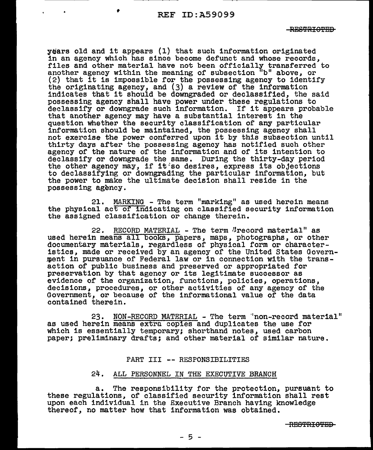years old and it appears (1) that such information originated in an agency which has since become defunct and whose records, files and other material have not been officially transferred to another agency within the meaning of subsection "b" above, or (2) that it is impossible for the possessing agency to identify the originating agency, and (3) a review of the information indicates that it should be downgraded or declassified, the said possessing agency shall have power under these regulations to declassify or downgrade such information. If it appears probable that another agency may have a substantial interest in the question whether the security classification of' any particular information should be maintained, the possessing agency shall not exercise the power conferred upon it by this subsection until thirty days after the possessing agency has notified such other agency of the nature of the information and of its intention to declassify or downgrade the same. During the thirty-day period the other agency may, if it so desires, express its objections to declassifying or downgrading the particular information, but the power to make the ultimate decision shall reside in the possessing agency.

21. MARKING - The term "marking" as used herein means the physical ac€ of indicating on classified security information the assigned classification or change therein.

22. RECORD MATERIAL - The term "record material" as used herein means all books, papers, maps, photographs, or other documentary materials, regardless of physical form or characteristics, made or received by an agency of the United States Government in pursuance of Federal law or in connection with the transaction of public business and preserved or appropriated for preservation by that agency or its legitimate successor as evidence of the organization, functions, policies, operations, decisions, procedures, or other activities of any agency of the Government, or because of the informational value of the data contained therein.

23. NON-RECORD MATERIAL - The term "non-record material" as used herein means extra copies and duplicates the use for which is essentially temporary; shorthand notes, used carbon paper; preliminary drafts; and other material of similar nature.

#### PART III -- RESPONSIBILITIES

#### 24. ALL PERSONNEL IN THE EXECUTIVE BRANCH

a. The responsibility for the protection, pursuant to these regulations, of classified security information shall rest upon each individual in the Executive Branch having knowledge thereof, no matter how that information was obtained.

 $-RESPRICPED-$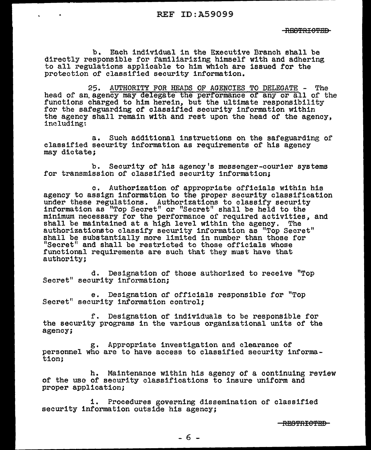b. Each individual in the Executive Branch shall be directly responsible for familiarizing himself with and adhering to all regulations applicable to him which are issued for the protection of classified security information.

25. AUTHORITY FOR HEADS OF AGENCIES TO DELEGATE - The head of an.agency may delegate the performance or any or all of the functions charged to him herein, but the ultimate responsibility for the safeguarding of classified security information within the agency shall remain with and rest upon the head of the agency, including:

a. Such additional instructions on the safeguarding of classified security information as requirements of his agency may dictate;

b. Security of his agency's messenger-courier systems for transmission of classified security information;

c. Authorization of appropriate officials within his agency to assign information to the proper security classification under these regulations. Authorizations to classify security under these regulations. Authorizations to classify security information as 11Top Secret" or "Secret" shall be held to the minimum necessary for the performance or required activities, and shall be maintained at a high level within the agency. The authorizationsto classify security information aa "Top Secret" shall be substantially more limited in number than those for "Secret" and shall be restricted to those officials whose functional requirements are such that they must have that authority;

d. Designation of those authorized to receive "Top Secret" security information;

e. Designation of officials responsible for "Top Secret" security information control.;

f. Designation of individuals to be responsible for the security programs in the various organizational units of the agency;

g. Appropriate investigation and clearance of personnel who are to have access to classified security information;

h. Maintenance within his agency of a continuing review of the uso of security classifications to insure uniform and proper application;

1. Procedures governing dissemination of classified security information outside his agency;

<del>-RESTRICTED</del>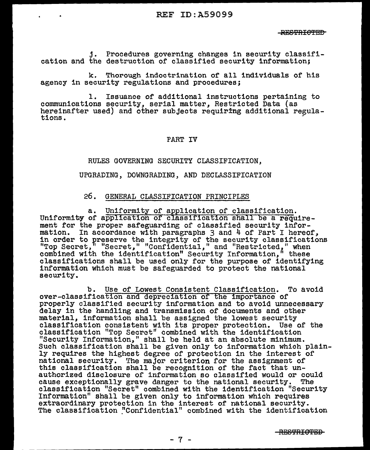j. Procedures governing changes 1n security classification and the destruction of classified security information;

k. Thorough indoctrination of all individuals of his agency in security regulations and procedures;

1. Issuance of additional instructions pertaining to communications security, serial matter, Restricted Data (as hereinafter used) and other subjects requiring additional regula-<br>tions.

### PART IV

#### RULES GOVERNING SECURITY CLASSIFICATION,

UPGRADING, DOWNGRADING, AND DECLASSIFICATION

#### 26. GENERAL CLASSIFICATION PRINCIPLES

a. Uniformity of application of classification. Uniformity of application of classification shall be a requirement for the proper safeguarding of classified security information. In accordance with paragraphs 3 and 4 of Part I hereof, in order to preserve the integrity of the security classifications "Top Secret," "Secret," "Confidential," and "Restricted," when combined with the identification" Security Information," these classifications shall be used only for the purpose or identifying information which must be safeguarded to protect the national security.

b. Use of Lowest Consistent Classification. To avoid over-classification and depreciation of the importance of properly classified security information and to avoid unnecessary delay in the handling and transmission of documents and other material, information shall be assigned the lowest security classification consistent with its proper protection. Use of the classification "Top Secret" combined with the identification "Security Information," shall be held at an absolute minimum. Such classification shall be given only to information which plain- ly requires the highest degree of protection in the interest of national security. The major criterion for the assignment of this classification shall be recognition of the fact that unauthorized disclosure of information so classified would or could cause exceptionally grave danger to the national security. The classification "Secret" combined with the identification "Security Information" shall be given only to information which requires<br>extraordinary protection in the interest of national security.<br>The classification "Confidential" combined with the identification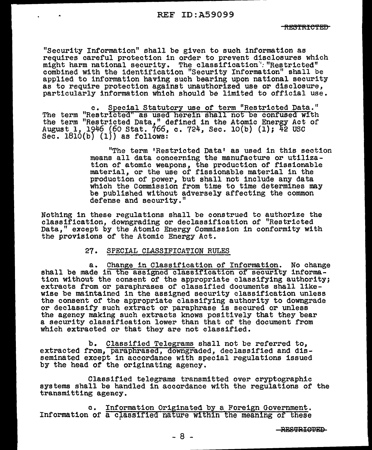"Security Information" shall be given to such information as requires careful protection in order to prevent disclosures which might harm national security. The classification'': "Restricted" combined with the identification "Security Information" shall be applied to information having such bearing upon national security as to require protection against unauthorized use or disclosure, particularly information which should be limited to official use.

c. Special Statutory use of term "Restricted Data." The term "Restricted" as used herein shall not be confused with the term "Restricted Data,," defined in the Atomic Energy Act of August 1, 1946 (60 Stat. 766, c. 724, Sec. 10(b) (1); 42 USC Sec.  $1810(b)$  (1)) as follows:

> "The term 'Restricted Data' as used in this section means all data concerning the manufacture or utilization of atomic weapons, the production of fissionable material, or the use of fissionable material in the production of power, but shall not include any data which the Commission from time to time determines may be published without adversely affecting the common defense and security."

Nothing in these regulations shall be construed to authorize the classification, downgrading or declassification of "Restricted Data." except by the Atomic Energy Commission in conformity with the provisions of the Atomic Energy Act.

#### 27. SPECIAL CLASSIFICATION RULES

a. Change in Classification of Information. No change shall be made in the assigned classification of security information without the consent of the appropriate classifying authority; extracts from or paraphrases of classified documents shall likewise be maintained in the assigned security classification unless the consent of the appropriate classifying authority to downgrade or declassify such extract or paraphrase is secured or unless the agency making such extracts knows positively that they bear a security classification lower than that of the document from which extracted or that they are not classified.

b. Classified Telegrams shall not be referred *to,*  extracted from, paraphrased, downgraded, declassified and disseminated except in accordance with special regulations issued by the head or the originating agency.

Classified telegrams transmitted over cryptographic systems shall be handled in accordance with the regulations or the transmitting agency.

c. Information Originated by a Foreign Government. Information of a classified nature within the meaning of these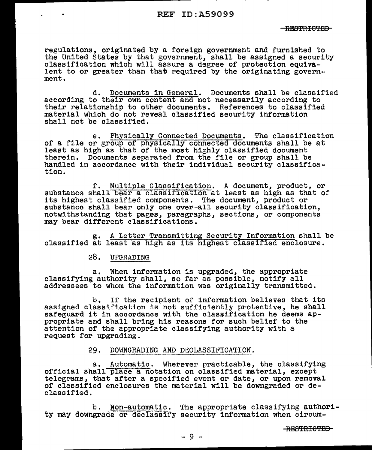#### $-FFRPPTTGPRD-$

regulations, originated by a foreign government and furnished to the United States by that government, shall be assigned a security classification which will assure a degree of protection equiva- lent to or greater than that required by the originating government.

d. Documents in General. Documents shall be classified according to their own content and not necessarily according to their relationship to other documents. References to classified material which do not reveal classified security information shall not be classified.

e. Physically Connected Documents. The classification of a file or group of physically connected documents shall be at least as high as that of the most highly classified document therein. Documents separated from the file or group shall be handled in accordance with their individual security classification.

f. Multiple Classification. A document, product, or substance shall bear a classification at least as high as that of its highest classified components. The document, product or substance shall bear only one over-all security classification, notwithstanding that pages, paragraphs, sections, or components may bear different classifications.

g. A Letter Transmitting Security Information shall be classified at least as high as its highest classified enclosure.

# 28. UPGRADING

a. When information is upgraded, the appropriate classifying authority shall, so far as possible, notify all addressees to whom the information was originally transmitted.

b. If the recipient or information believes that its assigned classification is not sufficiently protective, he shall safeguard it in accordance with the classification he deems appropriate and shall bring his reasons for such belief to the attention of the appropriate classifying authority with a request for upgrading.

#### 29. DOWNGRADING AND DECLASSIFICATION.

a. Automatic. Wherever practicable, the classifying<br>official shall place a notation on classified material, except<br>telegrams, that after a specified event or date, or upon removal of classified enclosures the material will be downgraded or declassified.

b. Non-automatic. The appropriate classifying authority may downgrade or declassify security information when circum-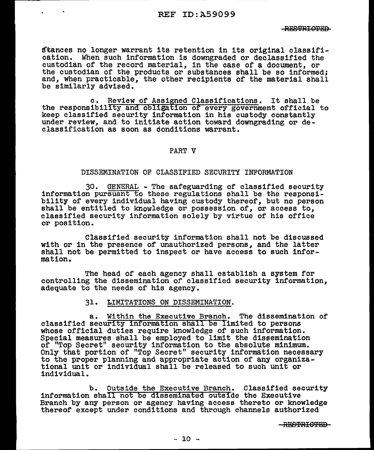d'unces no longer warrant its retention in its original classifi-<br>cation. When such information is downgraded or declassified the when such information is downgraded or declassified the custodian of the record material, in the case of a document, or the custodian of the products or substances shall be so informed; and, when practicable, the other recipients or the material shall be similarly advised.

c. Review of Assigned Classifications. It shall be the responsibility and obligation of every government official to keep classified security information in his custody constantly under review, and to initiate action toward downgrading or declassification as soon as conditions warrant.

#### PART V

#### DISSEMINATION OF CLASSIFIED SECURITY INFORMATION

30. GENERAL - The safeguarding of classified security<br>information pursuant to these regulations shall be the responsi-<br>bility of every individual having custody thereof, but no person<br>shall be entitled to knowledge or poss classified security information solely by virtue of his office or position.

Classified security information shall not be discussed with or in the presence of unauthorized persons, and the latter shall not be permitted to inspect or have access to such information.

The head of each agency shall establish a system for controlling the dissemination of classified security information, adequate to the needs of his agency.

#### 31. LIMITATIONS ON DISSEMINATION.

a. Within the Executive Branch. The dissemination of classified security information shall be limited to persons whose official duties require knowledge of such information. Special measures shall be employed to limit the dissemination of "Top Secret" security information to the absolute minimum. Only that portion of "Top Secret" security information necessary to the proper planning and appropriate action of any organiza- tional unit or individual shall be released to such unit or individual.

b. Outside the Executive Branch. Classified security information shall not be disseminated outside the Executive Branch by any person or agency having access thereto or knowledge thereof except under conditions and through channels authorized

-RESTRIGTED-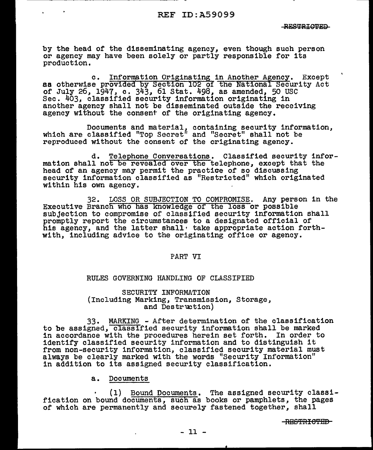by the head of the disseminating agency, even though such person or agency may have been solely or partly responsible for its production.

c. Information Originating in Another Agency. Except as otherwise provided by Section 102 of the National Security Act of July *26,* 1947, c. 343, 61 Stat. 498, as amended, 50 USC Sec. 403, classified security information originating in another agency shall not be disseminated outside the receiving agency without the consent of the originating agency.

Documents and material, containing security information, which are classified "Top Secret" and "Secret" shall not be reproduced without the consent of the originating agency.

d. Telephone Conversations. Classified security information shall not be revealed over the telephone, except that the head of an agency may permit the practice of so discussing security information classified as "Restricted" which originated within his own agency.

32. LOSS OR SUBJECTION TO COMPROMISE. Any person in the Executive Branch who has knowledge of the loss or possible subjection to compromise of classified security information shall promptly report the circumstances to a designated official of his agency, and the latter shall, take appropriate action forthwith, including advice to the originating office or agency.

#### PART VI

#### RULES GOVERNING HANDLING OF CLASSIFIED

SECURITY INFORMATION (Including Marking, Transmission, Storage,<br>and Destruction)

33. MARKING - After determination of the classification to be assigned, classified security information shall be marked in accordance with the procedures herein set forth. In order to identify classified security information and to distinguish it from non-security information, classified security material must always be clearly marked with the words "Security Information" in addition to its assigned security classification.

#### a. Documents

(1) Bound Documents. The assigned security classification on bound documents, such as books or pamphlets, the pages of which are permanently and securely fastened together, shall

-RESTRICTED-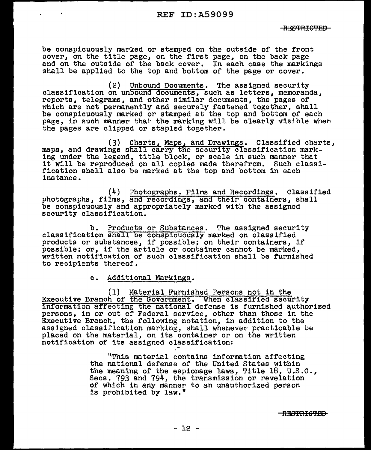be conspicuously marked or stamped on the outside of the front cover, 011 the title page, on the first page, on the back page and on the outside of the back cover. In each case the markings shall be applied to the top and bottom of the page or cover.

(2) Unbound Documents. The assigned security classification on unbound documents, such as letters, memoranda, reports, telegrams, and other similar documents, the pages of which are not permanently and securely fastened together, shall be conspicuously marked or stamped at the top and bottom of each page, in such manner that the marking will be clearly visible when the pages are clipped or stapled together.

(3) Charts, Maps, and Drawings. Classified charts, maps, and drawings shall carry the security classification marking under the legend, title block, or scale in such manner that it will be reproduced on all copies made therefrom. Such classification shall also be marked at the top and bottom in each instance ..

(4) Photographs, Films and Recordings. Classified photographs, films, and recordings, and their containers, shall be conspicuously and appropriately marked with the assigned security classification.

b. Products or Substances. The assigned security classification shall be conspicuously marked on classified products or substances, if possible; on their containers, if possible; or, if the article or container cannot be marked, written notification of such classification shall be furnished to recipients thereof,

c. Additional Markings.

(1) Material Furnished Persons not in the<br>Executive Branch of the Government. When classified security Information affecting the national defense is furnished authorized persons, in or out of Federal service, other than those in the Executive Branch, the following notation, in addition to the assigned classification marking, shall whenever practicable be placed on the material, on its container or on the written notification of its assigned classification:

> "This material contains information affecting the national defense of the United States within the meaning of the espionage laws, Title  $18$ , U.S.C., Secs. 793 and 794, the transmission or revelation of which in any manner to an unauthorized person is prohibited by law."

> > <del>RESTRICTED</del>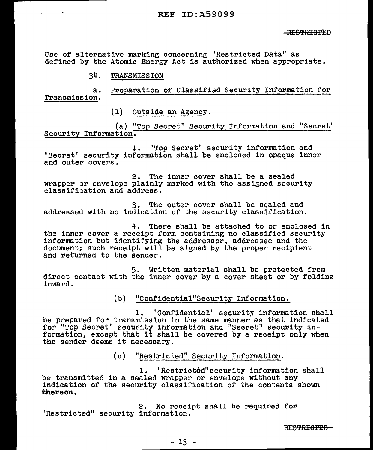Use of alternative marking concerning "Restricted Data" as defined by the Atomic Energy Act is authorized when appropriate.

34. TRANSMISSION

a. Preparation of Classified Security Information for Transmission.

(1) Outside an Agency.

(a) "Top Secret" Security Information and "Secret" Security Information.

1. ''Top Secret" security information and "Secret" security information shall be enclosed in opaque inner and outer covers.

2. The inner cover shall be a sealed wrapper or envelope plainly marked with the assigned security classification and address.

3. The outer cover shall be sealed and addressed with no indication of the security classification.

4. There shall be attached to or enclosed in the inner cover a receipt form containing no classified security information but identifying the addressor, addressee and the document; such receipt will be slgned by the proper recipient and returned to the sender.

5. Written material shall be protected from direct contact with the inner cover by a cover sheet or by folding<br>inward.

(b) "Confident1al"Security Information.

l. "Confidential" security information shall be prepared for transmission in the same manner as that indicated ror "Top Secret" security information and "Secret" security infor top secret security information and secret security in-<br>formation, except that it shall be covered by a receipt only when the sender deems it necessary.

(c) "Restricted" Security Information.

1. "Restricted" security information shall<br>be transmitted in a sealed wrapper or envelope without any indication of the security classification of the contents shown thereon.

2. No receipt shall be required for "Restricted" security information.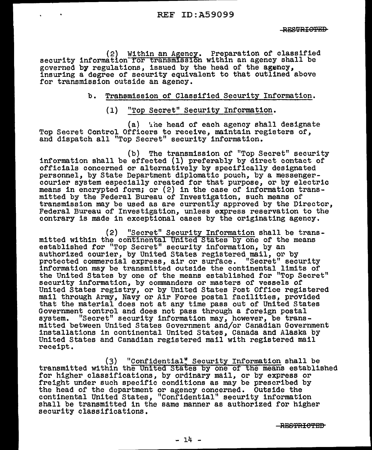(2) Within an Afency. Preparation of classified security information for transmission within an agency shall be governed by regulations, issued by the head of the agency, insuring a degree of security equivalent to that outlined above for transmission outside an agency.

## b. Transmission of Classified Security Information..

# (1) "Top Secret" Security Information.

(a) <sup>'</sup>he head of each agency shall designate Top Secret Control Officers to receive, maintain registers of, and dispatch all "Top Secret" security information.

(b) The transmission of "Top Secret" security<br>information shall be effected (1) preferably by direct contact of officials concerned or alternatively by specifically designated personnel, by State Department diplomatic pouch, by a messenger- courier system especially created for that purpose, or by electric means in encrypted form; or (2) in the case of information transmitted by the Federal Bureau of Investigation, such means of transmission may be used as are currently approved by the Director, Federal Bureau of Investigation, unless express reservation to the contrary is made in exceptional cases by the originating agency.

(2) "Secret" Security Information shall be transmitted within the continental United States by one of the means established for "Top Secret" security information, by an authorized courier, by United States registered mail, or by protected commercial express, air or surface. "Secret" security information may be transmitted outside the continental limits of the United States by one of the means established for "Top Secret" security information, by commanders or masters of vessels of<br>United States registry, or by United States Post Office registered mail through Army, Navy or Air Force postal facilities, provided that the material does not at any time pass out of United States Government control and does not pass through a foreign postal system. "Secret" security information may, however, be transmitted between United States Government and/or Canadian Government installations in continental United States, Canada and Alaska by United States and Canadian registered mail with registered mail receipt.

(3) "Confidential" Security Information shall be transmitted within the United States by one of the means established for higher classifications, by ordinary mail, or by express or freight under such specific conditions as may be prescribed by freight under such specific conditions as may be prescribed by the head of the department or agency concerned. Outside the continental United States, "Confidential" security information shall be transmitted in the same manner as authorized for higher security classifications.

 $-$ **RESTRICTED**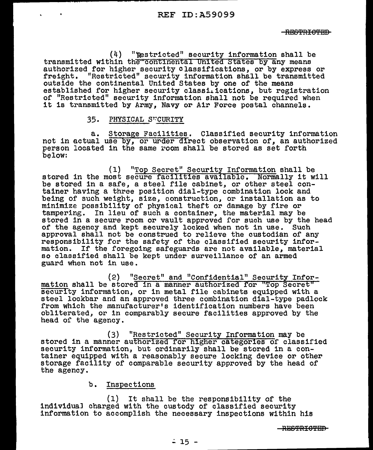(4) "'Restricted" security information shall be transmitted within the-continental United States by any means authorized for higher security classifications, or by express or freight. "Restricted" security information shall be transmitted outside the continental United States by one of the means established for higher security classitications, but registration of "Restricted" security information shall not be required when it is transmitted by Army, Navy or Air Force postal channels.

## 35. PHYSICAL SUCURITY

a. Storage Facilities. Classified security information not in actual use by, or urder direct observation of, an authorized person located in the same room shall be stored as set forth below:

(1) "Top Secret" Security Information shall be stored in the most secure facilities available. Normally it will be stored in a safe, a steel file cabinet, or other steel container having a three position dial-type combination lock and being of such weight, size, construction, or installation as to minimize possibility of physical theft or damage by fire or tampering. In lieu of such a container, the material may be stored in a secure room or vault approved for such use by the head of the agency and kept securely locked when not in use. Such approval shall not be construed to relieve the custodian of any responsibility for the safety of the classified security inforresponsibility for the safety of the classified security infor-<br>mation. If the foregoing safeguards are not available, material so classified shall be kept under surveillance of an armed guard when not in use.

(2) "Secret" and "Confidential" Security Information shall be stored in a manner authorized for "Top Secret" security information, or in metal file cabinets equipped with a steel lockbar and an approved three combination dial-type padlock from which the manufacturer's identification numbers have been obliterated, or in comparably secure facilities approved by the head or the agency.

(3) "Restricted" Security Information may be stored in a manner authorized for higher categories of classified security information, but ordinarily shall be stored in a container equipped with a reasonably secure locking device or other storage facility of comparable security approved by the head of the agency.

## b. Inspections

(1) It shall be the responsibility of the<br>individual charged with the custody of classified security information to accomplish the necessary inspections within his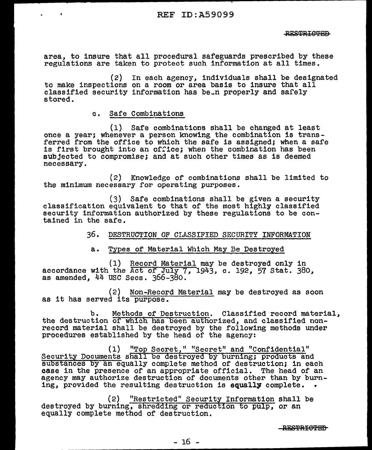area, to insure that all procedural safeguards prescribed by these regulations are taken to protect such information at all times.

(2) to make inspections on a room or area basis to insure that all classified security information has been properly and safely stored. In each agency, individuals shall be designated classified security information has been properly and safely

c. Safe Combinations

(1) Safe combinations shall be changed at least once a year; whenever a person knowing the combination is transferred from the office to which the safe is assigned; when a safe is first brought into an office; when the combination has been subjected to compromise; and at such other times as is deemed necessary.

(2) Knowledge of combinations shall be limited to the minimum necessary for operating purposes.

(3) Safe combinations shall be given a security classification equivalent to that of the most highly classified security information authorized by these regulations to be contained in the safe.

36. DESTRUCTION OF CLASSIFIED SECURITY INFORMATION

a. Types of Material Which May Be Destroyed

(1) Record Material may be destroyed only in accordance with the Act of July 7,  $1943$ , c. 192, 57 Stat. 380, as amended, 44 USC Secs. 366-380.

(2) Non-Record Material may be destroyed as soon as it has served its purpose.

b. Methods of Destruction. Classified record material, the destruction of which has been authorized, and classified nonrecord material shall be destroyed by the following methods under procedures established by the head of the agency:

(1) "Top Secret," "Secret" and "Confidential" Security Documents shall be destroyed by burning; products and substances by an equally complete method of destruction; in each case in the presence of an appropriate official. The head of an agency may authorize destruction of documents other than by burning, provided the resulting destruction is equally complete.

(2) "Restricted" Security Information shall be destroyed by burning, shredding or reduction to pulp, or an equally complete method of destruction.

BESTRIGTED